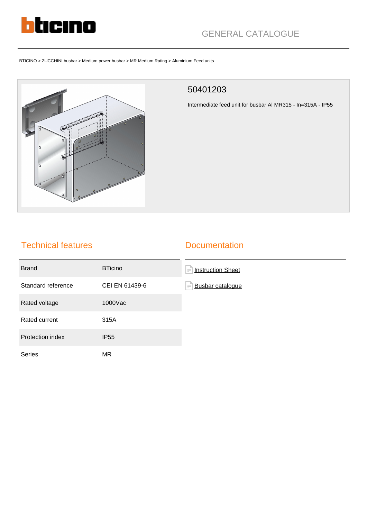

# GENERAL CATALOGUE

BTICINO > ZUCCHINI busbar > Medium power busbar > MR Medium Rating > Aluminium Feed units



#### 50401203

Intermediate feed unit for busbar Al MR315 - In=315A - IP55

## Technical features

#### **Documentation**

| <b>Brand</b>       | <b>BTicino</b> | <b>Instruction Sheet</b><br>íΞ      |
|--------------------|----------------|-------------------------------------|
| Standard reference | CEI EN 61439-6 | <b>Busbar catalogue</b><br>$\equiv$ |
| Rated voltage      | 1000Vac        |                                     |
| Rated current      | 315A           |                                     |
| Protection index   | <b>IP55</b>    |                                     |
| Series             | MR.            |                                     |